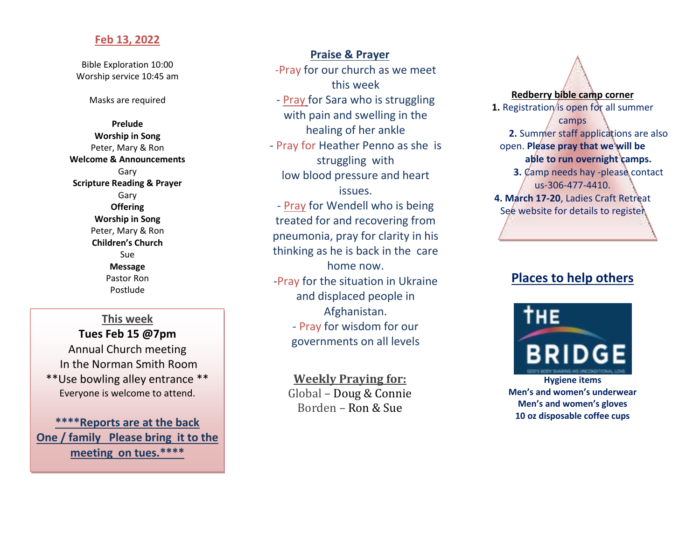### **Feb 13, 2022**

Bible Exploration 10:00 Worship service 10:45 am

Masks are required

**Prelude Worship in Song** Peter, Mary & Ron **Welcome & Announcements** Gary **Scripture Reading & Prayer** Gary **Offering Worship in Song** Peter, Mary & Ron **Children's Church** Sue **Message** Pastor Ron Postlude

**This week**

**Tues Feb 15 @7pm** Annual Church meeting In the Norman Smith Room \*\*Use bowling alley entrance \*\*

Everyone is welcome to attend.

**\*\*\*\*Reports are at the back One / family Please bring it to the meeting on tues.\*\*\*\***

**Praise & Prayer** -Pray for our church as we meet this week - Pray for Sara who is struggling with pain and swelling in the healing of her ankle - Pray for Heather Penno as she is struggling with low blood pressure and heart issues. - Pray for Wendell who is being treated for and recovering from pneumonia, pray for clarity in his thinking as he is back in the care home now. -Pray for the situation in Ukraine and displaced people in Afghanistan. - Pray for wisdom for our governments on all levels

> **Weekly Praying for:** Global – Doug & Connie Borden – Ron & Sue



# **Places to help others**

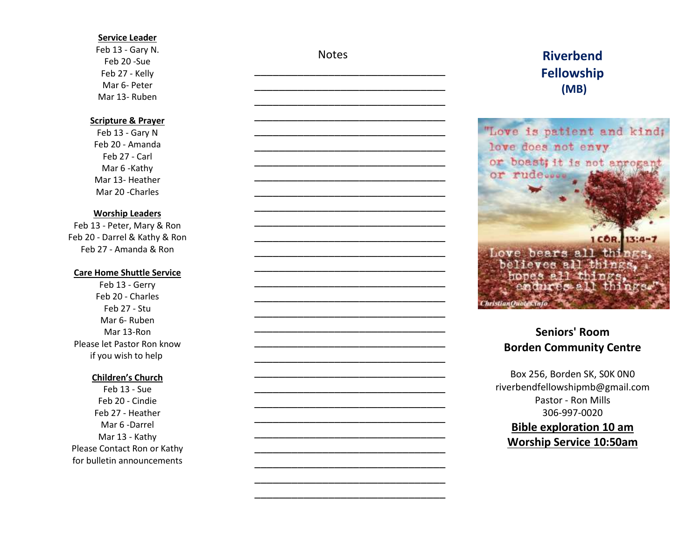#### **Service Leader**

Feb 13 - Gary N. Feb 20 -Sue Feb 27 - Kelly Mar 6- Peter Mar 13- Ruben

### **Scripture & Prayer**

Feb 13 - Gary N Feb 20 - Amanda Feb 27 - Carl Mar 6 -Kathy Mar 13- Heather Mar 20 -Charles

#### **Worship Leaders**

Feb 13 - Peter, Mary & Ron Feb 20 - Darrel & Kathy & Ron Feb 27 - Amanda & Ron

#### **Care Home Shuttle Service**

Feb 13 - Gerry Feb 20 - Charles Feb 27 - Stu Mar 6- Ruben Mar 13-Ron Please let Pastor Ron know if you wish to help

#### **Children's Church**

Feb 13 - Sue Feb 20 - Cindie Feb 27 - Heather Mar 6 -Darrel Mar 13 - Kathy Please Contact Ron or Kathy for bulletin announcements **Notes** 

\_\_\_\_\_\_\_\_\_\_\_\_\_\_\_\_\_\_\_\_\_\_\_\_\_\_\_\_\_\_\_ \_\_\_\_\_\_\_\_\_\_\_\_\_\_\_\_\_\_\_\_\_\_\_\_\_\_\_\_\_\_\_

\_\_\_\_\_\_\_\_\_\_\_\_\_\_\_\_\_\_\_\_\_\_\_\_\_\_\_\_\_\_\_ \_\_\_\_\_\_\_\_\_\_\_\_\_\_\_\_\_\_\_\_\_\_\_\_\_\_\_\_\_\_\_ \_\_\_\_\_\_\_\_\_\_\_\_\_\_\_\_\_\_\_\_\_\_\_\_\_\_\_\_\_\_\_ \_\_\_\_\_\_\_\_\_\_\_\_\_\_\_\_\_\_\_\_\_\_\_\_\_\_\_\_\_\_\_ \_\_\_\_\_\_\_\_\_\_\_\_\_\_\_\_\_\_\_\_\_\_\_\_\_\_\_\_\_\_\_ \_\_\_\_\_\_\_\_\_\_\_\_\_\_\_\_\_\_\_\_\_\_\_\_\_\_\_\_\_\_\_ \_\_\_\_\_\_\_\_\_\_\_\_\_\_\_\_\_\_\_\_\_\_\_\_\_\_\_\_\_\_\_ \_\_\_\_\_\_\_\_\_\_\_\_\_\_\_\_\_\_\_\_\_\_\_\_\_\_\_\_\_\_\_ \_\_\_\_\_\_\_\_\_\_\_\_\_\_\_\_\_\_\_\_\_\_\_\_\_\_\_\_\_\_\_ \_\_\_\_\_\_\_\_\_\_\_\_\_\_\_\_\_\_\_\_\_\_\_\_\_\_\_\_\_\_\_



# **Riverbend Fellowship (MB)**



## **Seniors' Room Borden Community Centre**

Box 256, Borden SK, S0K 0N0 riverbendfellowshipmb@gmail.com Pastor - Ron Mills 306-997-0020 **Bible exploration 10 am Worship Service 10:50am**